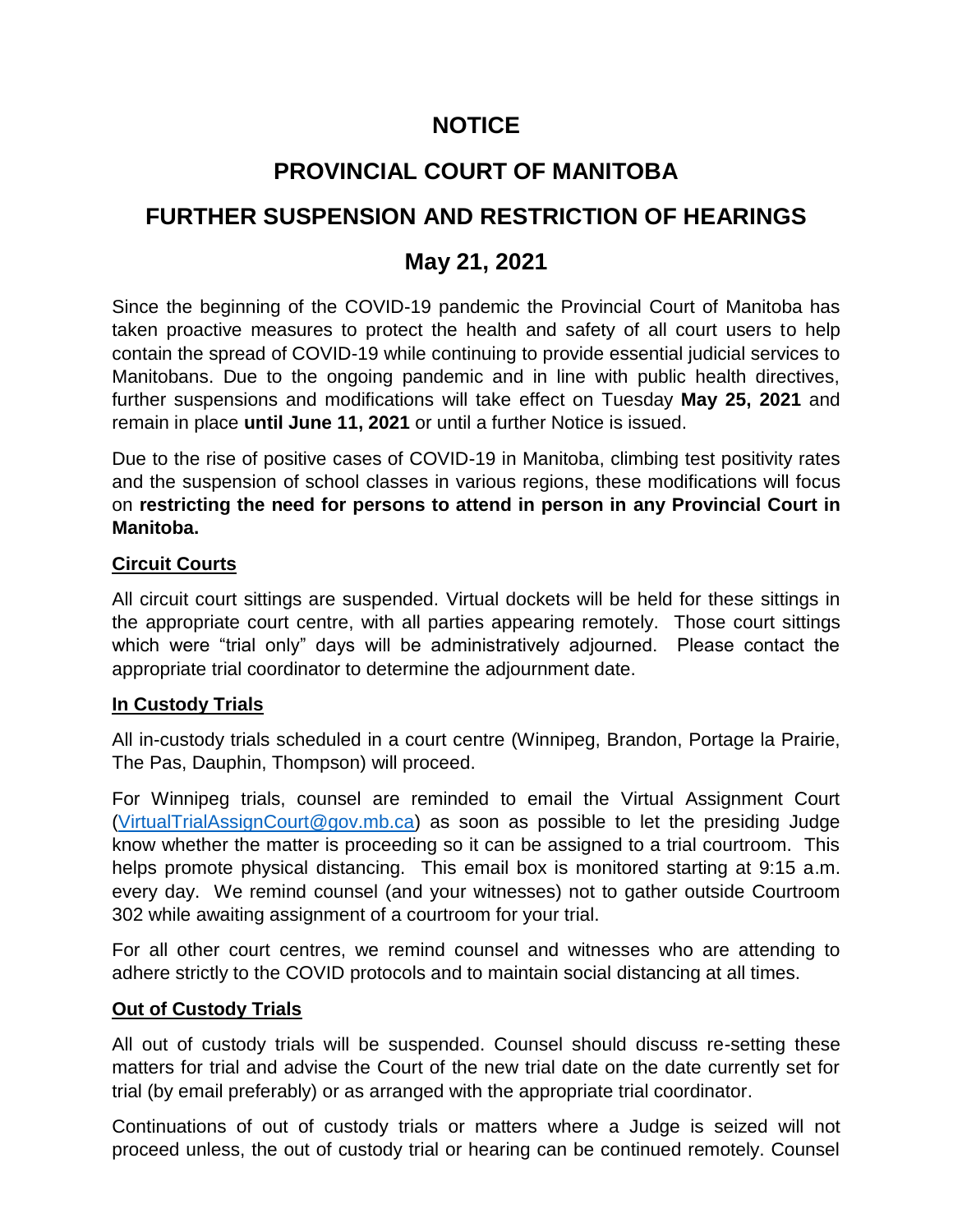# **NOTICE**

# **PROVINCIAL COURT OF MANITOBA**

# **FURTHER SUSPENSION AND RESTRICTION OF HEARINGS**

# **May 21, 2021**

Since the beginning of the COVID-19 pandemic the Provincial Court of Manitoba has taken proactive measures to protect the health and safety of all court users to help contain the spread of COVID-19 while continuing to provide essential judicial services to Manitobans. Due to the ongoing pandemic and in line with public health directives, further suspensions and modifications will take effect on Tuesday **May 25, 2021** and remain in place **until June 11, 2021** or until a further Notice is issued.

Due to the rise of positive cases of COVID-19 in Manitoba, climbing test positivity rates and the suspension of school classes in various regions, these modifications will focus on **restricting the need for persons to attend in person in any Provincial Court in Manitoba.**

## **Circuit Courts**

All circuit court sittings are suspended. Virtual dockets will be held for these sittings in the appropriate court centre, with all parties appearing remotely. Those court sittings which were "trial only" days will be administratively adjourned. Please contact the appropriate trial coordinator to determine the adjournment date.

## **In Custody Trials**

All in-custody trials scheduled in a court centre (Winnipeg, Brandon, Portage la Prairie, The Pas, Dauphin, Thompson) will proceed.

For Winnipeg trials, counsel are reminded to email the Virtual Assignment Court [\(VirtualTrialAssignCourt@gov.mb.ca\)](mailto:VirtualTrialAssignCourt@gov.mb.ca) as soon as possible to let the presiding Judge know whether the matter is proceeding so it can be assigned to a trial courtroom. This helps promote physical distancing. This email box is monitored starting at 9:15 a.m. every day. We remind counsel (and your witnesses) not to gather outside Courtroom 302 while awaiting assignment of a courtroom for your trial.

For all other court centres, we remind counsel and witnesses who are attending to adhere strictly to the COVID protocols and to maintain social distancing at all times.

#### **Out of Custody Trials**

All out of custody trials will be suspended. Counsel should discuss re-setting these matters for trial and advise the Court of the new trial date on the date currently set for trial (by email preferably) or as arranged with the appropriate trial coordinator.

Continuations of out of custody trials or matters where a Judge is seized will not proceed unless, the out of custody trial or hearing can be continued remotely. Counsel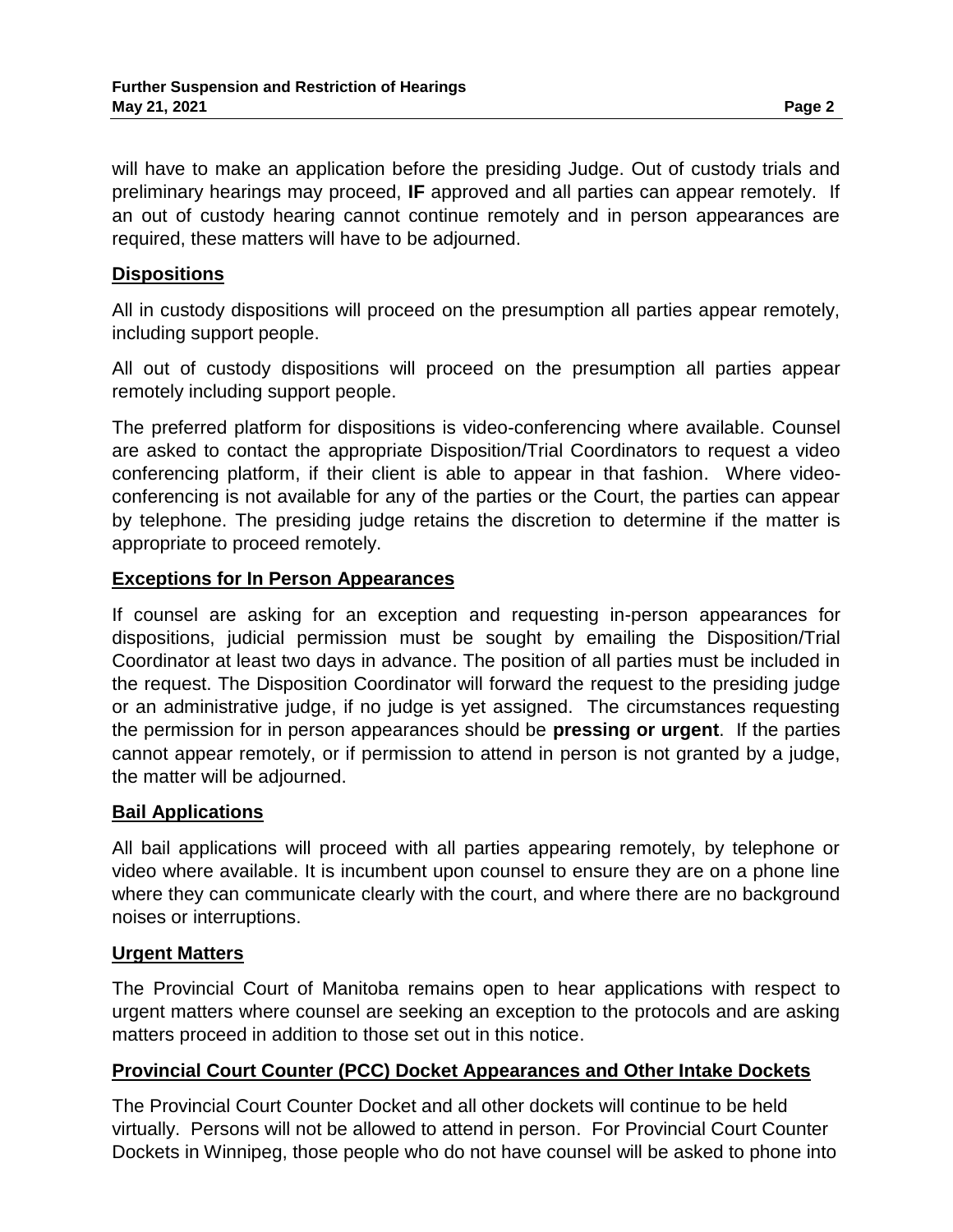will have to make an application before the presiding Judge. Out of custody trials and preliminary hearings may proceed, **IF** approved and all parties can appear remotely. If an out of custody hearing cannot continue remotely and in person appearances are required, these matters will have to be adjourned.

#### **Dispositions**

All in custody dispositions will proceed on the presumption all parties appear remotely, including support people.

All out of custody dispositions will proceed on the presumption all parties appear remotely including support people.

The preferred platform for dispositions is video-conferencing where available. Counsel are asked to contact the appropriate Disposition/Trial Coordinators to request a video conferencing platform, if their client is able to appear in that fashion. Where videoconferencing is not available for any of the parties or the Court, the parties can appear by telephone. The presiding judge retains the discretion to determine if the matter is appropriate to proceed remotely.

#### **Exceptions for In Person Appearances**

If counsel are asking for an exception and requesting in-person appearances for dispositions, judicial permission must be sought by emailing the Disposition/Trial Coordinator at least two days in advance. The position of all parties must be included in the request. The Disposition Coordinator will forward the request to the presiding judge or an administrative judge, if no judge is yet assigned. The circumstances requesting the permission for in person appearances should be **pressing or urgent**. If the parties cannot appear remotely, or if permission to attend in person is not granted by a judge, the matter will be adjourned.

#### **Bail Applications**

All bail applications will proceed with all parties appearing remotely, by telephone or video where available. It is incumbent upon counsel to ensure they are on a phone line where they can communicate clearly with the court, and where there are no background noises or interruptions.

#### **Urgent Matters**

The Provincial Court of Manitoba remains open to hear applications with respect to urgent matters where counsel are seeking an exception to the protocols and are asking matters proceed in addition to those set out in this notice.

## **Provincial Court Counter (PCC) Docket Appearances and Other Intake Dockets**

The Provincial Court Counter Docket and all other dockets will continue to be held virtually. Persons will not be allowed to attend in person. For Provincial Court Counter Dockets in Winnipeg, those people who do not have counsel will be asked to phone into